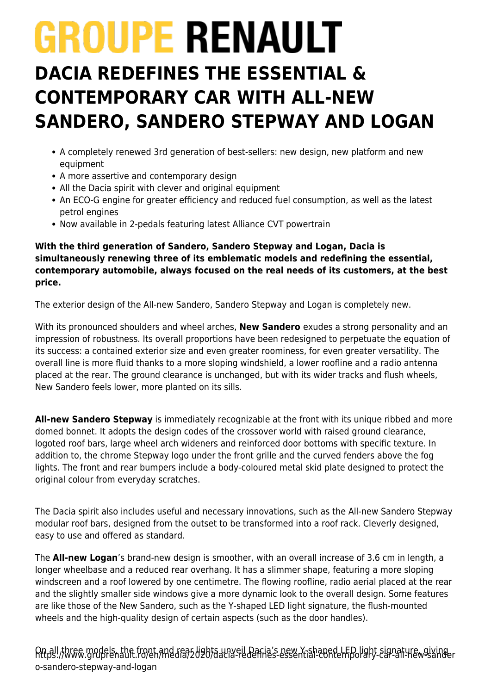# **GROUPE RENAULT**

# **DACIA REDEFINES THE ESSENTIAL & CONTEMPORARY CAR WITH ALL-NEW SANDERO, SANDERO STEPWAY AND LOGAN**

- A completely renewed 3rd generation of best-sellers: new design, new platform and new equipment
- A more assertive and contemporary design
- All the Dacia spirit with clever and original equipment
- An ECO-G engine for greater efficiency and reduced fuel consumption, as well as the latest petrol engines
- Now available in 2-pedals featuring latest Alliance CVT powertrain

**With the third generation of Sandero, Sandero Stepway and Logan, Dacia is simultaneously renewing three of its emblematic models and redefining the essential, contemporary automobile, always focused on the real needs of its customers, at the best price.**

The exterior design of the All-new Sandero, Sandero Stepway and Logan is completely new.

With its pronounced shoulders and wheel arches, **New Sandero** exudes a strong personality and an impression of robustness. Its overall proportions have been redesigned to perpetuate the equation of its success: a contained exterior size and even greater roominess, for even greater versatility. The overall line is more fluid thanks to a more sloping windshield, a lower roofline and a radio antenna placed at the rear. The ground clearance is unchanged, but with its wider tracks and flush wheels, New Sandero feels lower, more planted on its sills.

**All-new Sandero Stepway** is immediately recognizable at the front with its unique ribbed and more domed bonnet. It adopts the design codes of the crossover world with raised ground clearance, logoted roof bars, large wheel arch wideners and reinforced door bottoms with specific texture. In addition to, the chrome Stepway logo under the front grille and the curved fenders above the fog lights. The front and rear bumpers include a body-coloured metal skid plate designed to protect the original colour from everyday scratches.

The Dacia spirit also includes useful and necessary innovations, such as the All-new Sandero Stepway modular roof bars, designed from the outset to be transformed into a roof rack. Cleverly designed, easy to use and offered as standard.

The **All-new Logan**'s brand-new design is smoother, with an overall increase of 3.6 cm in length, a longer wheelbase and a reduced rear overhang. It has a slimmer shape, featuring a more sloping windscreen and a roof lowered by one centimetre. The flowing roofline, radio aerial placed at the rear and the slightly smaller side windows give a more dynamic look to the overall design. Some features are like those of the New Sandero, such as the Y-shaped LED light signature, the flush-mounted wheels and the high-quality design of certain aspects (such as the door handles).

ନାt<sub>i</sub>all,three models, the front and reas dabta unveil Dacia's new Y-shaped LED light signature, giving r<br>በተለይ የመገባት የመሆኑ የመልክ የተለይ የመልክ የተለይ የመልክ የተለይ የመልክ የተለይ የመልክ የተለይ የመልክ የመልክ የመልክ የ o-sandero-stepway-and-logan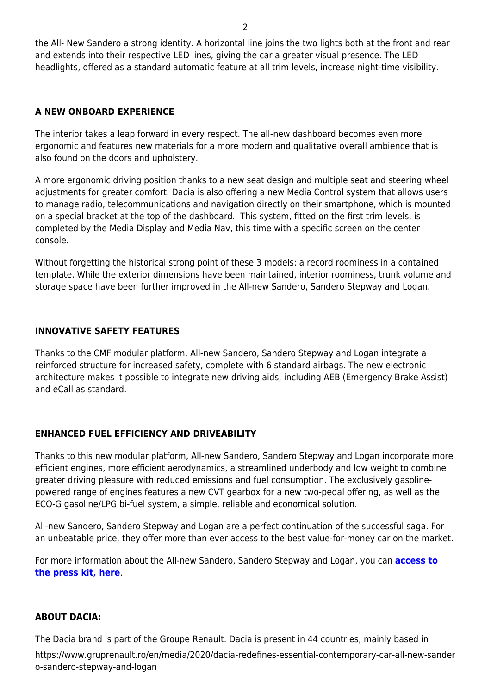the All- New Sandero a strong identity. A horizontal line joins the two lights both at the front and rear and extends into their respective LED lines, giving the car a greater visual presence. The LED headlights, offered as a standard automatic feature at all trim levels, increase night-time visibility.

#### **A NEW ONBOARD EXPERIENCE**

The interior takes a leap forward in every respect. The all-new dashboard becomes even more ergonomic and features new materials for a more modern and qualitative overall ambience that is also found on the doors and upholstery.

A more ergonomic driving position thanks to a new seat design and multiple seat and steering wheel adjustments for greater comfort. Dacia is also offering a new Media Control system that allows users to manage radio, telecommunications and navigation directly on their smartphone, which is mounted on a special bracket at the top of the dashboard. This system, fitted on the first trim levels, is completed by the Media Display and Media Nav, this time with a specific screen on the center console.

Without forgetting the historical strong point of these 3 models: a record roominess in a contained template. While the exterior dimensions have been maintained, interior roominess, trunk volume and storage space have been further improved in the All-new Sandero, Sandero Stepway and Logan.

### **INNOVATIVE SAFETY FEATURES**

Thanks to the CMF modular platform, All-new Sandero, Sandero Stepway and Logan integrate a reinforced structure for increased safety, complete with 6 standard airbags. The new electronic architecture makes it possible to integrate new driving aids, including AEB (Emergency Brake Assist) and eCall as standard.

## **ENHANCED FUEL EFFICIENCY AND DRIVEABILITY**

Thanks to this new modular platform, All-new Sandero, Sandero Stepway and Logan incorporate more efficient engines, more efficient aerodynamics, a streamlined underbody and low weight to combine greater driving pleasure with reduced emissions and fuel consumption. The exclusively gasolinepowered range of engines features a new CVT gearbox for a new two-pedal offering, as well as the ECO-G gasoline/LPG bi-fuel system, a simple, reliable and economical solution.

All-new Sandero, Sandero Stepway and Logan are a perfect continuation of the successful saga. For an unbeatable price, they offer more than ever access to the best value-for-money car on the market.

For more information about the All-new Sandero, Sandero Stepway and Logan, you can **[access to](https://www.gruprenault.ro/sites/default/files/pdf/2020_09_17_new_dacia_sandero_sandero_stepway_logan_-_press_kit_english.docx) [the press kit, here](https://www.gruprenault.ro/sites/default/files/pdf/2020_09_17_new_dacia_sandero_sandero_stepway_logan_-_press_kit_english.docx)**.

#### **ABOUT DACIA:**

The Dacia brand is part of the Groupe Renault. Dacia is present in 44 countries, mainly based in

https://www.gruprenault.ro/en/media/2020/dacia-redefines-essential-contemporary-car-all-new-sander o-sandero-stepway-and-logan